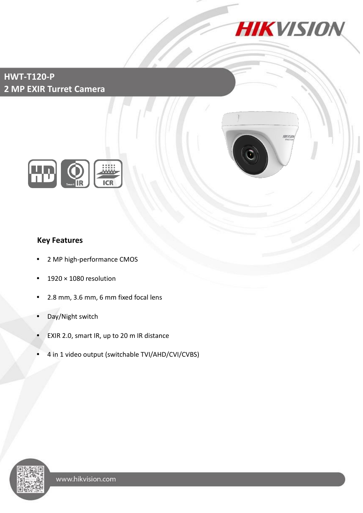

**HIKVI** 

## **HWT-T120-P 2 MP EXIR Turret Camera**



## **Key Features**

- 2 MP high-performance CMOS
- 1920 × 1080 resolution
- 2.8 mm, 3.6 mm, 6 mm fixed focal lens
- Day/Night switch
- EXIR 2.0, smart IR, up to 20 m IR distance
- 4 in 1 video output (switchable TVI/AHD/CVI/CVBS)

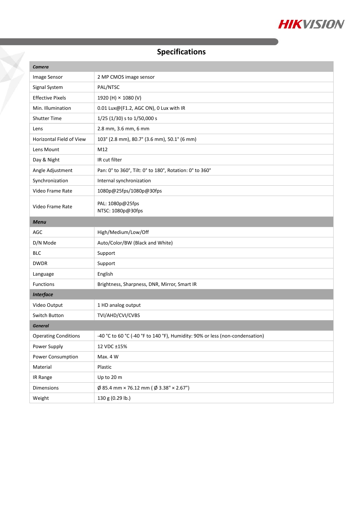

# **Specifications**

Ž

| Camera                      |                                                                              |
|-----------------------------|------------------------------------------------------------------------------|
| Image Sensor                | 2 MP CMOS image sensor                                                       |
| Signal System               | PAL/NTSC                                                                     |
| <b>Effective Pixels</b>     | 1920 (H) × 1080 (V)                                                          |
| Min. Illumination           | 0.01 Lux@(F1.2, AGC ON), 0 Lux with IR                                       |
| <b>Shutter Time</b>         | $1/25$ (1/30) s to 1/50,000 s                                                |
| Lens                        | 2.8 mm, 3.6 mm, 6 mm                                                         |
| Horizontal Field of View    | 103° (2.8 mm), 80.7° (3.6 mm), 50.1° (6 mm)                                  |
| Lens Mount                  | M12                                                                          |
| Day & Night                 | IR cut filter                                                                |
| Angle Adjustment            | Pan: 0° to 360°, Tilt: 0° to 180°, Rotation: 0° to 360°                      |
| Synchronization             | Internal synchronization                                                     |
| Video Frame Rate            | 1080p@25fps/1080p@30fps                                                      |
| Video Frame Rate            | PAL: 1080p@25fps<br>NTSC: 1080p@30fps                                        |
| <b>Menu</b>                 |                                                                              |
| AGC                         | High/Medium/Low/Off                                                          |
| D/N Mode                    | Auto/Color/BW (Black and White)                                              |
| <b>BLC</b>                  | Support                                                                      |
| <b>DWDR</b>                 | Support                                                                      |
| Language                    | English                                                                      |
| Functions                   | Brightness, Sharpness, DNR, Mirror, Smart IR                                 |
| <b>Interface</b>            |                                                                              |
| Video Output                | 1 HD analog output                                                           |
| Switch Button               | TVI/AHD/CVI/CVBS                                                             |
| <b>General</b>              |                                                                              |
| <b>Operating Conditions</b> | -40 °C to 60 °C (-40 °F to 140 °F), Humidity: 90% or less (non-condensation) |
| Power Supply                | 12 VDC ±15%                                                                  |
| Power Consumption           | Max. 4 W                                                                     |
| Material                    | Plastic                                                                      |
| IR Range                    | Up to 20 m                                                                   |
| Dimensions                  | $\emptyset$ 85.4 mm × 76.12 mm ( $\emptyset$ 3.38" × 2.67")                  |
| Weight                      | 130 g (0.29 lb.)                                                             |